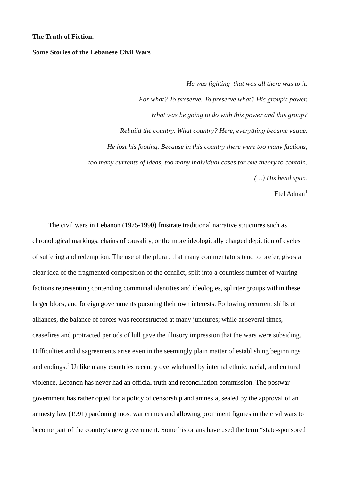## **The Truth of Fiction.**

## **Some Stories of the Lebanese Civil Wars**

*He was fighting–that was all there was to it. For what? To preserve. To preserve what? His group's power. What was he going to do with this power and this group? Rebuild the country. What country? Here, everything became vague. He lost his footing. Because in this country there were too many factions, too many currents of ideas, too many individual cases for one theory to contain. (…) His head spun.*

Etel Adnan $<sup>1</sup>$  $<sup>1</sup>$  $<sup>1</sup>$ </sup>

The civil wars in Lebanon (1975-1990) frustrate traditional narrative structures such as chronological markings, chains of causality, or the more ideologically charged depiction of cycles of suffering and redemption. The use of the plural, that many commentators tend to prefer, gives a clear idea of the fragmented composition of the conflict, split into a countless number of warring factions representing contending communal identities and ideologies, splinter groups within these larger blocs, and foreign governments pursuing their own interests. Following recurrent shifts of alliances, the balance of forces was reconstructed at many junctures; while at several times, ceasefires and protracted periods of lull gave the illusory impression that the wars were subsiding. Difficulties and disagreements arise even in the seemingly plain matter of establishing beginnings and endings.[2](#page-14-0) Unlike many countries recently overwhelmed by internal ethnic, racial, and cultural violence, Lebanon has never had an official truth and reconciliation commission. The postwar government has rather opted for a policy of censorship and amnesia, sealed by the approval of an amnesty law (1991) pardoning most war crimes and allowing prominent figures in the civil wars to become part of the country's new government. Some historians have used the term "state-sponsored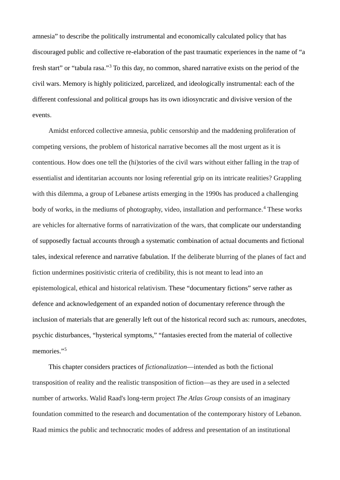amnesia" to describe the politically instrumental and economically calculated policy that has discouraged public and collective re-elaboration of the past traumatic experiences in the name of "a fresh start" or "tabula rasa."[3](#page-14-1) To this day, no common, shared narrative exists on the period of the civil wars. Memory is highly politicized, parcelized, and ideologically instrumental: each of the different confessional and political groups has its own idiosyncratic and divisive version of the events.

Amidst enforced collective amnesia, public censorship and the maddening proliferation of competing versions, the problem of historical narrative becomes all the most urgent as it is contentious. How does one tell the (hi)stories of the civil wars without either falling in the trap of essentialist and identitarian accounts nor losing referential grip on its intricate realities? Grappling with this dilemma, a group of Lebanese artists emerging in the 1990s has produced a challenging body of works, in the mediums of photography, video, installation and performance.<sup>[4](#page-14-2)</sup> These works are vehicles for alternative forms of narrativization of the wars, that complicate our understanding of supposedly factual accounts through a systematic combination of actual documents and fictional tales, indexical reference and narrative fabulation. If the deliberate blurring of the planes of fact and fiction undermines positivistic criteria of credibility, this is not meant to lead into an epistemological, ethical and historical relativism. These "documentary fictions" serve rather as defence and acknowledgement of an expanded notion of documentary reference through the inclusion of materials that are generally left out of the historical record such as: rumours, anecdotes, psychic disturbances, "hysterical symptoms," "fantasies erected from the material of collective memories."<sup>[5](#page-14-3)</sup>

This chapter considers practices of *fictionalization*—intended as both the fictional transposition of reality and the realistic transposition of fiction—as they are used in a selected number of artworks. Walid Raad's long-term project *The Atlas Group* consists of an imaginary foundation committed to the research and documentation of the contemporary history of Lebanon. Raad mimics the public and technocratic modes of address and presentation of an institutional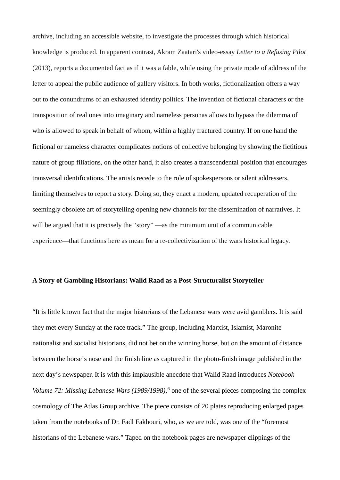archive, including an accessible website, to investigate the processes through which historical knowledge is produced. In apparent contrast, Akram Zaatari's video-essay *Letter to a Refusing Pilot* (2013), reports a documented fact as if it was a fable, while using the private mode of address of the letter to appeal the public audience of gallery visitors. In both works, fictionalization offers a way out to the conundrums of an exhausted identity politics. The invention of fictional characters or the transposition of real ones into imaginary and nameless personas allows to bypass the dilemma of who is allowed to speak in behalf of whom, within a highly fractured country. If on one hand the fictional or nameless character complicates notions of collective belonging by showing the fictitious nature of group filiations, on the other hand, it also creates a transcendental position that encourages transversal identifications. The artists recede to the role of spokespersons or silent addressers, limiting themselves to report a story. Doing so, they enact a modern, updated recuperation of the seemingly obsolete art of storytelling opening new channels for the dissemination of narratives. It will be argued that it is precisely the "story" —as the minimum unit of a communicable experience—that functions here as mean for a re-collectivization of the wars historical legacy.

#### **A Story of Gambling Historians: Walid Raad as a Post-Structuralist Storyteller**

"It is little known fact that the major historians of the Lebanese wars were avid gamblers. It is said they met every Sunday at the race track." The group, including Marxist, Islamist, Maronite nationalist and socialist historians, did not bet on the winning horse, but on the amount of distance between the horse's nose and the finish line as captured in the photo-finish image published in the next day's newspaper. It is with this implausible anecdote that Walid Raad introduces *Notebook Volume 72: Missing Lebanese Wars (1989/1998)*,<sup>[6](#page-14-4)</sup> one of the several pieces composing the complex cosmology of The Atlas Group archive. The piece consists of 20 plates reproducing enlarged pages taken from the notebooks of Dr. Fadl Fakhouri, who, as we are told, was one of the "foremost historians of the Lebanese wars." Taped on the notebook pages are newspaper clippings of the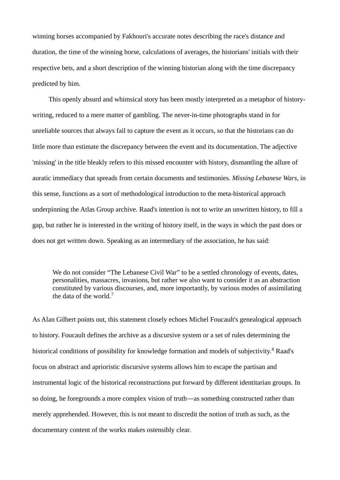winning horses accompanied by Fakhouri's accurate notes describing the race's distance and duration, the time of the winning horse, calculations of averages, the historians' initials with their respective bets, and a short description of the winning historian along with the time discrepancy predicted by him.

This openly absurd and whimsical story has been mostly interpreted as a metaphor of historywriting, reduced to a mere matter of gambling. The never-in-time photographs stand in for unreliable sources that always fail to capture the event as it occurs, so that the historians can do little more than estimate the discrepancy between the event and its documentation. The adjective 'missing' in the title bleakly refers to this missed encounter with history, dismantling the allure of auratic immediacy that spreads from certain documents and testimonies. *Missing Lebanese Wars*, in this sense, functions as a sort of methodological introduction to the meta-historical approach underpinning the Atlas Group archive. Raad's intention is not to write an unwritten history, to fill a gap, but rather he is interested in the writing of history itself, in the ways in which the past does or does not get written down. Speaking as an intermediary of the association, he has said:

We do not consider "The Lebanese Civil War" to be a settled chronology of events, dates, personalities, massacres, invasions, but rather we also want to consider it as an abstraction constituted by various discourses, and, more importantly, by various modes of assimilating the data of the world.<sup>[7](#page-14-5)</sup>

As Alan Gilbert points out, this statement closely echoes Michel Foucault's genealogical approach to history. Foucault defines the archive as a discursive system or a set of rules determining the historical conditions of possibility for knowledge formation and models of subjectivity.<sup>[8](#page-14-6)</sup> Raad's focus on abstract and aprioristic discursive systems allows him to escape the partisan and instrumental logic of the historical reconstructions put forward by different identitarian groups. In so doing, he foregrounds a more complex vision of truth—as something constructed rather than merely apprehended. However, this is not meant to discredit the notion of truth as such, as the documentary content of the works makes ostensibly clear.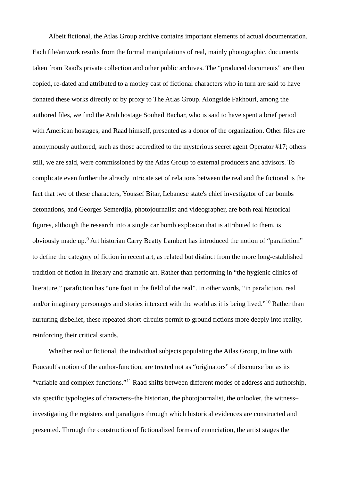Albeit fictional, the Atlas Group archive contains important elements of actual documentation. Each file/artwork results from the formal manipulations of real, mainly photographic, documents taken from Raad's private collection and other public archives. The "produced documents" are then copied, re-dated and attributed to a motley cast of fictional characters who in turn are said to have donated these works directly or by proxy to The Atlas Group. Alongside Fakhouri, among the authored files, we find the Arab hostage Souheil Bachar, who is said to have spent a brief period with American hostages, and Raad himself, presented as a donor of the organization. Other files are anonymously authored, such as those accredited to the mysterious secret agent Operator #17; others still, we are said, were commissioned by the Atlas Group to external producers and advisors. To complicate even further the already intricate set of relations between the real and the fictional is the fact that two of these characters, Youssef Bitar, Lebanese state's chief investigator of car bombs detonations, and Georges Semerdjia, photojournalist and videographer, are both real historical figures, although the research into a single car bomb explosion that is attributed to them, is obviously made up.[9](#page-14-7) Art historian Carry Beatty Lambert has introduced the notion of "parafiction" to define the category of fiction in recent art, as related but distinct from the more long-established tradition of fiction in literary and dramatic art. Rather than performing in "the hygienic clinics of literature," parafiction has "one foot in the field of the real". In other words, "in parafiction, real and/or imaginary personages and stories intersect with the world as it is being lived."[10](#page-14-8) Rather than nurturing disbelief, these repeated short-circuits permit to ground fictions more deeply into reality, reinforcing their critical stands.

Whether real or fictional, the individual subjects populating the Atlas Group, in line with Foucault's notion of the author-function, are treated not as "originators" of discourse but as its "variable and complex functions."[11](#page-14-9) Raad shifts between different modes of address and authorship, via specific typologies of characters–the historian, the photojournalist, the onlooker, the witness– investigating the registers and paradigms through which historical evidences are constructed and presented. Through the construction of fictionalized forms of enunciation, the artist stages the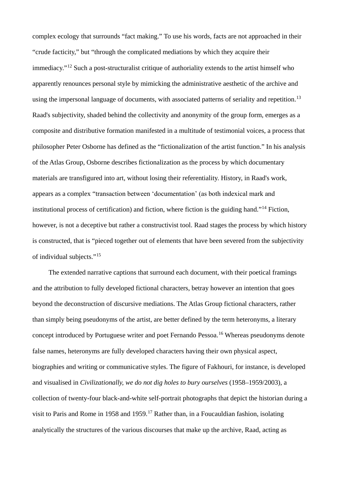complex ecology that surrounds "fact making." To use his words, facts are not approached in their "crude facticity," but "through the complicated mediations by which they acquire their immediacy."[12](#page-14-10) Such a post-structuralist critique of authoriality extends to the artist himself who apparently renounces personal style by mimicking the administrative aesthetic of the archive and using the impersonal language of documents, with associated patterns of seriality and repetition.<sup>[13](#page-14-11)</sup> Raad's subjectivity, shaded behind the collectivity and anonymity of the group form, emerges as a composite and distributive formation manifested in a multitude of testimonial voices, a process that philosopher Peter Osborne has defined as the "fictionalization of the artist function." In his analysis of the Atlas Group, Osborne describes fictionalization as the process by which documentary materials are transfigured into art, without losing their referentiality. History, in Raad's work, appears as a complex "transaction between ʻdocumentation' (as both indexical mark and institutional process of certification) and fiction, where fiction is the guiding hand."[14](#page-15-0) Fiction, however, is not a deceptive but rather a constructivist tool. Raad stages the process by which history is constructed, that is "pieced together out of elements that have been severed from the subjectivity of individual subjects."[15](#page-15-1)

The extended narrative captions that surround each document, with their poetical framings and the attribution to fully developed fictional characters, betray however an intention that goes beyond the deconstruction of discursive mediations. The Atlas Group fictional characters, rather than simply being pseudonyms of the artist, are better defined by the term heteronyms, a literary concept introduced by Portuguese writer and poet Fernando Pessoa.[16](#page-15-2) Whereas pseudonyms denote false names, heteronyms are fully developed characters having their own physical aspect, biographies and writing or communicative styles. The figure of Fakhouri, for instance, is developed and visualised in *Civilizationally, we do not dig holes to bury ourselves* (1958–1959/2003), a collection of twenty-four black-and-white self-portrait photographs that depict the historian during a visit to Paris and Rome in 1958 and 1959.<sup>[17](#page-15-3)</sup> Rather than, in a Foucauldian fashion, isolating analytically the structures of the various discourses that make up the archive, Raad, acting as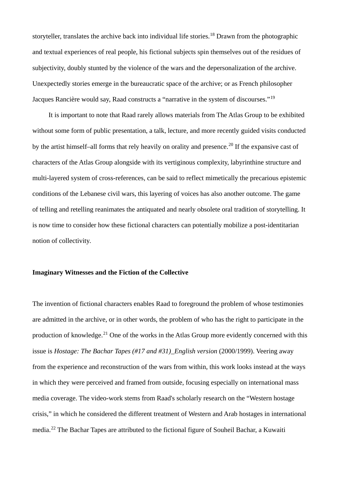storyteller, translates the archive back into individual life stories.<sup>[18](#page-15-4)</sup> Drawn from the photographic and textual experiences of real people, his fictional subjects spin themselves out of the residues of subjectivity, doubly stunted by the violence of the wars and the depersonalization of the archive. Unexpectedly stories emerge in the bureaucratic space of the archive; or as French philosopher Jacques Rancière would say, Raad constructs a "narrative in the system of discourses."[19](#page-15-5)

It is important to note that Raad rarely allows materials from The Atlas Group to be exhibited without some form of public presentation, a talk, lecture, and more recently guided visits conducted by the artist himself–all forms that rely heavily on orality and presence.<sup>[20](#page-15-6)</sup> If the expansive cast of characters of the Atlas Group alongside with its vertiginous complexity, labyrinthine structure and multi-layered system of cross-references, can be said to reflect mimetically the precarious epistemic conditions of the Lebanese civil wars, this layering of voices has also another outcome. The game of telling and retelling reanimates the antiquated and nearly obsolete oral tradition of storytelling. It is now time to consider how these fictional characters can potentially mobilize a post-identitarian notion of collectivity.

# **Imaginary Witnesses and the Fiction of the Collective**

The invention of fictional characters enables Raad to foreground the problem of whose testimonies are admitted in the archive, or in other words, the problem of who has the right to participate in the production of knowledge.<sup>[21](#page-15-7)</sup> One of the works in the Atlas Group more evidently concerned with this issue is *Hostage: The Bachar Tapes (#17 and #31)\_English version* (2000/1999). Veering away from the experience and reconstruction of the wars from within, this work looks instead at the ways in which they were perceived and framed from outside, focusing especially on international mass media coverage. The video-work stems from Raad's scholarly research on the "Western hostage crisis," in which he considered the different treatment of Western and Arab hostages in international media.[22](#page-15-8) The Bachar Tapes are attributed to the fictional figure of Souheil Bachar, a Kuwaiti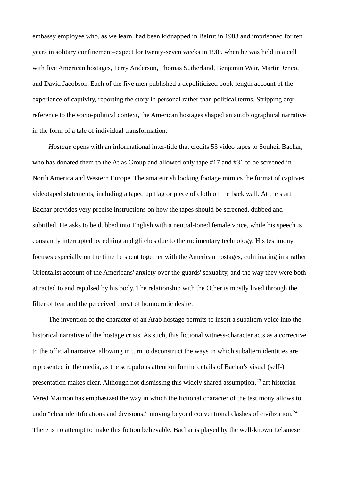embassy employee who, as we learn, had been kidnapped in Beirut in 1983 and imprisoned for ten years in solitary confinement–expect for twenty-seven weeks in 1985 when he was held in a cell with five American hostages, Terry Anderson, Thomas Sutherland, Benjamin Weir, Martin Jenco, and David Jacobson. Each of the five men published a depoliticized book-length account of the experience of captivity, reporting the story in personal rather than political terms. Stripping any reference to the socio-political context, the American hostages shaped an autobiographical narrative in the form of a tale of individual transformation.

*Hostage* opens with an informational inter-title that credits 53 video tapes to Souheil Bachar, who has donated them to the Atlas Group and allowed only tape #17 and #31 to be screened in North America and Western Europe. The amateurish looking footage mimics the format of captives' videotaped statements, including a taped up flag or piece of cloth on the back wall. At the start Bachar provides very precise instructions on how the tapes should be screened, dubbed and subtitled. He asks to be dubbed into English with a neutral-toned female voice, while his speech is constantly interrupted by editing and glitches due to the rudimentary technology. His testimony focuses especially on the time he spent together with the American hostages, culminating in a rather Orientalist account of the Americans' anxiety over the guards' sexuality, and the way they were both attracted to and repulsed by his body. The relationship with the Other is mostly lived through the filter of fear and the perceived threat of homoerotic desire.

The invention of the character of an Arab hostage permits to insert a subaltern voice into the historical narrative of the hostage crisis. As such, this fictional witness-character acts as a corrective to the official narrative, allowing in turn to deconstruct the ways in which subaltern identities are represented in the media, as the scrupulous attention for the details of Bachar's visual (self-) presentation makes clear. Although not dismissing this widely shared assumption, $^{23}$  $^{23}$  $^{23}$  art historian Vered Maimon has emphasized the way in which the fictional character of the testimony allows to undo "clear identifications and divisions," moving beyond conventional clashes of civilization.<sup>[24](#page-15-10)</sup> There is no attempt to make this fiction believable. Bachar is played by the well-known Lebanese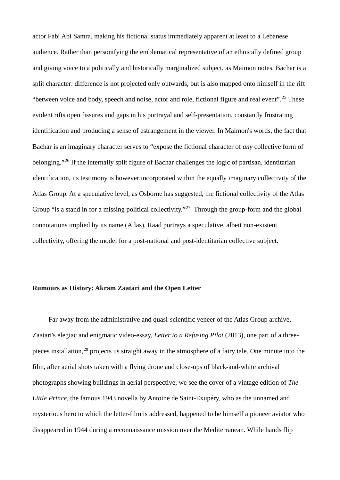actor Fabi Abi Samra, making his fictional status immediately apparent at least to a Lebanese audience. Rather than personifying the emblematical representative of an ethnically defined group and giving voice to a politically and historically marginalized subject, as Maimon notes, Bachar is a split character: difference is not projected only outwards, but is also mapped onto himself in the rift "between voice and body, speech and noise, actor and role, fictional figure and real event".[25](#page-16-0) These evident rifts open fissures and gaps in his portrayal and self-presentation, constantly frustrating identification and producing a sense of estrangement in the viewer. In Maimon's words, the fact that Bachar is an imaginary character serves to "expose the fictional character of *any* collective form of belonging."[26](#page-16-1) If the internally split figure of Bachar challenges the logic of partisan, identitarian identification, its testimony is however incorporated within the equally imaginary collectivity of the Atlas Group. At a speculative level, as Osborne has suggested, the fictional collectivity of the Atlas Group "is a stand in for a missing political collectivity."<sup>[27](#page-16-2)</sup> Through the group-form and the global connotations implied by its name (Atlas), Raad portrays a speculative, albeit non-existent collectivity, offering the model for a post-national and post-identitarian collective subject.

### **Rumours as History: Akram Zaatari and the Open Letter**

Far away from the administrative and quasi-scientific veneer of the Atlas Group archive, Zaatari's elegiac and enigmatic video-essay, *Letter to a Refusing Pilot* (2013), one part of a threepieces installation,[28](#page-16-3) projects us straight away in the atmosphere of a fairy tale. One minute into the film, after aerial shots taken with a flying drone and close-ups of black-and-white archival photographs showing buildings in aerial perspective, we see the cover of a vintage edition of *The Little Prince*, the famous 1943 novella by Antoine de Saint-Exupéry, who as the unnamed and mysterious hero to which the letter-film is addressed, happened to be himself a pioneer aviator who disappeared in 1944 during a reconnaissance mission over the Mediterranean. While hands flip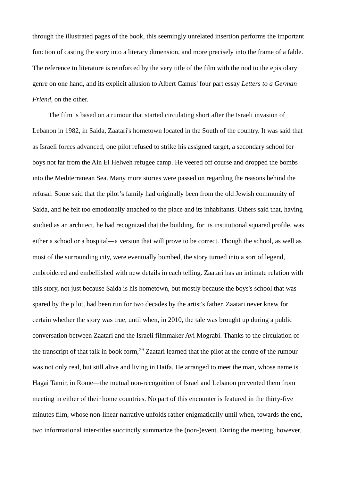through the illustrated pages of the book, this seemingly unrelated insertion performs the important function of casting the story into a literary dimension, and more precisely into the frame of a fable. The reference to literature is reinforced by the very title of the film with the nod to the epistolary genre on one hand, and its explicit allusion to Albert Camus' four part essay *Letters to a German Friend,* on the other.

The film is based on a rumour that started circulating short after the Israeli invasion of Lebanon in 1982, in Saida, Zaatari's hometown located in the South of the country. It was said that as Israeli forces advanced, one pilot refused to strike his assigned target, a secondary school for boys not far from the Ain El Helweh refugee camp. He veered off course and dropped the bombs into the Mediterranean Sea. Many more stories were passed on regarding the reasons behind the refusal. Some said that the pilot's family had originally been from the old Jewish community of Saida, and he felt too emotionally attached to the place and its inhabitants. Others said that, having studied as an architect, he had recognized that the building, for its institutional squared profile, was either a school or a hospital—a version that will prove to be correct. Though the school, as well as most of the surrounding city, were eventually bombed, the story turned into a sort of legend, embroidered and embellished with new details in each telling. Zaatari has an intimate relation with this story, not just because Saida is his hometown, but mostly because the boys's school that was spared by the pilot, had been run for two decades by the artist's father. Zaatari never knew for certain whether the story was true, until when, in 2010, the tale was brought up during a public conversation between Zaatari and the Israeli filmmaker Avi Mograbi. Thanks to the circulation of the transcript of that talk in book form,<sup>[29](#page-16-4)</sup> Zaatari learned that the pilot at the centre of the rumour was not only real, but still alive and living in Haifa. He arranged to meet the man, whose name is Hagai Tamir, in Rome—the mutual non-recognition of Israel and Lebanon prevented them from meeting in either of their home countries. No part of this encounter is featured in the thirty-five minutes film, whose non-linear narrative unfolds rather enigmatically until when, towards the end, two informational inter-titles succinctly summarize the (non-)event. During the meeting, however,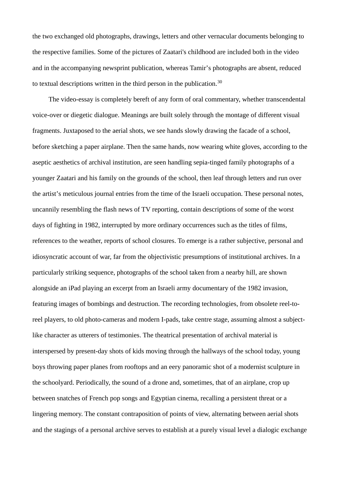the two exchanged old photographs, drawings, letters and other vernacular documents belonging to the respective families. Some of the pictures of Zaatari's childhood are included both in the video and in the accompanying newsprint publication, whereas Tamir's photographs are absent, reduced to textual descriptions written in the third person in the publication.[30](#page-16-5)

The video-essay is completely bereft of any form of oral commentary, whether transcendental voice-over or diegetic dialogue. Meanings are built solely through the montage of different visual fragments. Juxtaposed to the aerial shots, we see hands slowly drawing the facade of a school, before sketching a paper airplane. Then the same hands, now wearing white gloves, according to the aseptic aesthetics of archival institution, are seen handling sepia-tinged family photographs of a younger Zaatari and his family on the grounds of the school, then leaf through letters and run over the artist's meticulous journal entries from the time of the Israeli occupation. These personal notes, uncannily resembling the flash news of TV reporting, contain descriptions of some of the worst days of fighting in 1982, interrupted by more ordinary occurrences such as the titles of films, references to the weather, reports of school closures. To emerge is a rather subjective, personal and idiosyncratic account of war, far from the objectivistic presumptions of institutional archives. In a particularly striking sequence, photographs of the school taken from a nearby hill, are shown alongside an iPad playing an excerpt from an Israeli army documentary of the 1982 invasion, featuring images of bombings and destruction. The recording technologies, from obsolete reel-toreel players, to old photo-cameras and modern I-pads, take centre stage, assuming almost a subjectlike character as utterers of testimonies. The theatrical presentation of archival material is interspersed by present-day shots of kids moving through the hallways of the school today, young boys throwing paper planes from rooftops and an eery panoramic shot of a modernist sculpture in the schoolyard. Periodically, the sound of a drone and, sometimes, that of an airplane, crop up between snatches of French pop songs and Egyptian cinema, recalling a persistent threat or a lingering memory. The constant contraposition of points of view, alternating between aerial shots and the stagings of a personal archive serves to establish at a purely visual level a dialogic exchange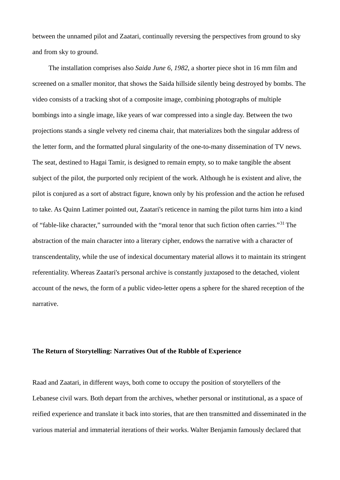between the unnamed pilot and Zaatari, continually reversing the perspectives from ground to sky and from sky to ground.

The installation comprises also *Saida June 6, 1982*, a shorter piece shot in 16 mm film and screened on a smaller monitor, that shows the Saida hillside silently being destroyed by bombs. The video consists of a tracking shot of a composite image, combining photographs of multiple bombings into a single image, like years of war compressed into a single day. Between the two projections stands a single velvety red cinema chair, that materializes both the singular address of the letter form, and the formatted plural singularity of the one-to-many dissemination of TV news. The seat, destined to Hagai Tamir, is designed to remain empty, so to make tangible the absent subject of the pilot, the purported only recipient of the work. Although he is existent and alive, the pilot is conjured as a sort of abstract figure, known only by his profession and the action he refused to take. As Quinn Latimer pointed out, Zaatari's reticence in naming the pilot turns him into a kind of "fable-like character," surrounded with the "moral tenor that such fiction often carries."[31 T](#page-16-6)he abstraction of the main character into a literary cipher, endows the narrative with a character of transcendentality, while the use of indexical documentary material allows it to maintain its stringent referentiality. Whereas Zaatari's personal archive is constantly juxtaposed to the detached, violent account of the news, the form of a public video-letter opens a sphere for the shared reception of the narrative.

### **The Return of Storytelling: Narratives Out of the Rubble of Experience**

Raad and Zaatari, in different ways, both come to occupy the position of storytellers of the Lebanese civil wars. Both depart from the archives, whether personal or institutional, as a space of reified experience and translate it back into stories, that are then transmitted and disseminated in the various material and immaterial iterations of their works. Walter Benjamin famously declared that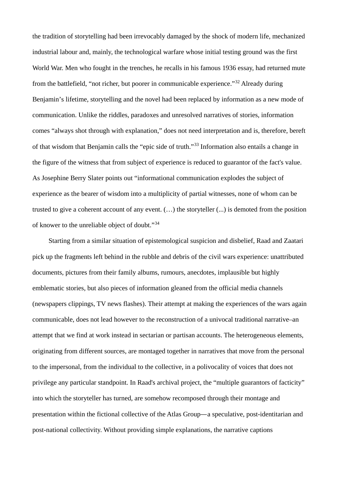the tradition of storytelling had been irrevocably damaged by the shock of modern life, mechanized industrial labour and, mainly, the technological warfare whose initial testing ground was the first World War. Men who fought in the trenches, he recalls in his famous 1936 essay, had returned mute from the battlefield, "not richer, but poorer in communicable experience."[32](#page-16-7) Already during Benjamin's lifetime, storytelling and the novel had been replaced by information as a new mode of communication. Unlike the riddles, paradoxes and unresolved narratives of stories, information comes "always shot through with explanation," does not need interpretation and is, therefore, bereft of that wisdom that Benjamin calls the "epic side of truth."[33](#page-16-8) Information also entails a change in the figure of the witness that from subject of experience is reduced to guarantor of the fact's value. As Josephine Berry Slater points out "informational communication explodes the subject of experience as the bearer of wisdom into a multiplicity of partial witnesses, none of whom can be trusted to give a coherent account of any event. (…) the storyteller (...) is demoted from the position of knower to the unreliable object of doubt."[34](#page-16-9)

Starting from a similar situation of epistemological suspicion and disbelief, Raad and Zaatari pick up the fragments left behind in the rubble and debris of the civil wars experience: unattributed documents, pictures from their family albums, rumours, anecdotes, implausible but highly emblematic stories, but also pieces of information gleaned from the official media channels (newspapers clippings, TV news flashes). Their attempt at making the experiences of the wars again communicable, does not lead however to the reconstruction of a univocal traditional narrative–an attempt that we find at work instead in sectarian or partisan accounts. The heterogeneous elements, originating from different sources, are montaged together in narratives that move from the personal to the impersonal, from the individual to the collective, in a polivocality of voices that does not privilege any particular standpoint. In Raad's archival project, the "multiple guarantors of facticity" into which the storyteller has turned, are somehow recomposed through their montage and presentation within the fictional collective of the Atlas Group—a speculative, post-identitarian and post-national collectivity. Without providing simple explanations, the narrative captions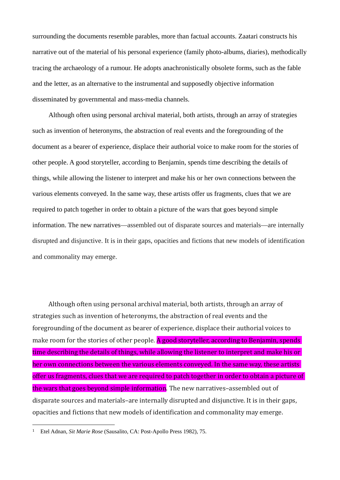surrounding the documents resemble parables, more than factual accounts. Zaatari constructs his narrative out of the material of his personal experience (family photo-albums, diaries), methodically tracing the archaeology of a rumour. He adopts anachronistically obsolete forms, such as the fable and the letter, as an alternative to the instrumental and supposedly objective information disseminated by governmental and mass-media channels.

Although often using personal archival material, both artists, through an array of strategies such as invention of heteronyms, the abstraction of real events and the foregrounding of the document as a bearer of experience, displace their authorial voice to make room for the stories of other people. A good storyteller, according to Benjamin, spends time describing the details of things, while allowing the listener to interpret and make his or her own connections between the various elements conveyed. In the same way, these artists offer us fragments, clues that we are required to patch together in order to obtain a picture of the wars that goes beyond simple information. The new narratives—assembled out of disparate sources and materials—are internally disrupted and disjunctive. It is in their gaps, opacities and fictions that new models of identification and commonality may emerge.

Although often using personal archival material, both artists, through an array of strategies such as invention of heteronyms, the abstraction of real events and the foregrounding of the document as bearer of experience, displace their authorial voices to make room for the stories of other people. A good storyteller, according to Benjamin, spends time describing the details of things, while allowing the listener to interpret and make his or her own connections between the various elements conveyed. In the same way, these artists offer us fragments, clues that we are required to patch together in order to obtain a picture of the wars that goes beyond simple information. The new narratives-assembled out of disparate sources and materials–are internally disrupted and disjunctive. It is in their gaps, opacities and fictions that new models of identification and commonality may emerge.

 $\overline{a}$ 

<span id="page-13-0"></span><sup>1</sup> Etel Adnan, *Sit Marie Rose* (Sausalito, CA: Post-Apollo Press 1982), 75.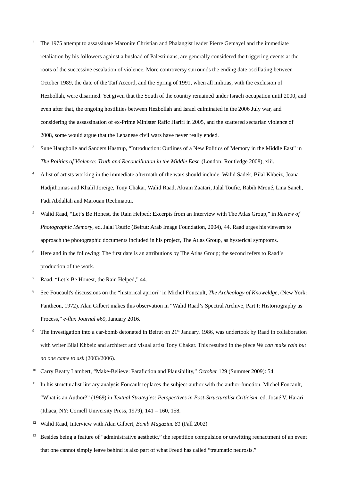- <span id="page-14-0"></span><sup>2</sup> The 1975 attempt to assassinate Maronite Christian and Phalangist leader Pierre Gemayel and the immediate retaliation by his followers against a busload of Palestinians, are generally considered the triggering events at the roots of the successive escalation of violence. More controversy surrounds the ending date oscillating between October 1989, the date of the Taif Accord, and the Spring of 1991, when all militias, with the exclusion of Hezbollah, were disarmed. Yet given that the South of the country remained under Israeli occupation until 2000, and even after that, the ongoing hostilities between Hezbollah and Israel culminated in the 2006 July war, and considering the assassination of ex-Prime Minister Rafic Hariri in 2005, and the scattered sectarian violence of 2008, some would argue that the Lebanese civil wars have never really ended.
- <span id="page-14-1"></span><sup>3</sup> Sune Haugbolle and Sanders Hastrup, "Introduction: Outlines of a New Politics of Memory in the Middle East" in *The Politics of Violence: Truth and Reconciliation in the Middle East* (London: Routledge 2008), xiii.
- <span id="page-14-2"></span><sup>4</sup> A list of artists working in the immediate aftermath of the wars should include: Walid Sadek, Bilal Khbeiz, Joana Hadjithomas and Khalil Joreige, Tony Chakar, Walid Raad, Akram Zaatari, Jalal Toufic, Rabih Mroué, Lina Saneh, Fadi Abdallah and Marouan Rechmaoui.
- <span id="page-14-3"></span><sup>5</sup> Walid Raad, "Let's Be Honest, the Rain Helped: Excerpts from an Interview with The Atlas Group," in *Review of Photographic Memory*, ed. Jalal Toufic (Beirut: Arab Image Foundation, 2004), 44. Raad urges his viewers to approach the photographic documents included in his project, The Atlas Group, as hysterical symptoms.
- <span id="page-14-4"></span><sup>6</sup> Here and in the following: The first date is an attributions by The Atlas Group; the second refers to Raad's production of the work.
- <span id="page-14-5"></span>Raad, "Let's Be Honest, the Rain Helped," 44.
- <span id="page-14-6"></span><sup>8</sup> See Foucault's discussions on the "historical apriori" in Michel Foucault, *The Archeology of Knoweldge*, (New York: Pantheon, 1972). Alan Gilbert makes this observation in "Walid Raad's Spectral Archive, Part I: Historiography as Process," *e-flux Journal* #69, January 2016.
- <span id="page-14-7"></span><sup>9</sup> The investigation into a car-bomb detonated in Beirut on 21<sup>st</sup> January, 1986, was undertook by Raad in collaboration with writer Bilal Khbeiz and architect and visual artist Tony Chakar. This resulted in the piece *We can make rain but no one came to ask* (2003/2006).
- <span id="page-14-8"></span><sup>10</sup> Carry Beatty Lambert, "Make-Believe: Parafiction and Plausibility," *October* 129 (Summer 2009): 54.
- <span id="page-14-9"></span> $11$  In his structuralist literary analysis Foucault replaces the subject-author with the author-function. Michel Foucault, "What is an Author?" (1969) in *Textual Strategies: Perspectives in Post-Structuralist Criticism*, ed. Josué V. Harari (Ithaca, NY: Cornell University Press, 1979), 141 – 160, 158.
- <span id="page-14-10"></span><sup>12</sup> Walid Raad, Interview with Alan Gilbert, *Bomb Magazine 81* (Fall 2002)
- <span id="page-14-11"></span><sup>13</sup> Besides being a feature of "administrative aesthetic," the repetition compulsion or unwitting reenactment of an event that one cannot simply leave behind is also part of what Freud has called "traumatic neurosis."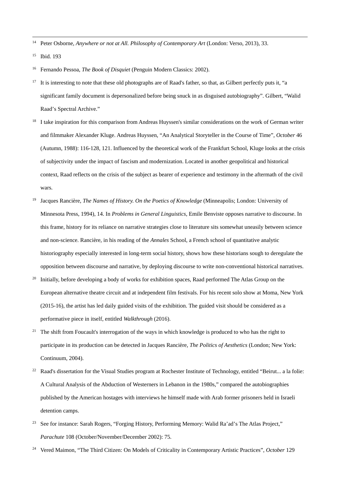<span id="page-15-0"></span>14 Peter Osborne, *Anywhere or not at All. Philosophy of Contemporary Art* (London: Verso, 2013), 33.

<span id="page-15-1"></span><sup>15</sup> Ibid. 193

- <span id="page-15-2"></span><sup>16</sup> Fernando Pessoa, *The Book of Disquiet* (Penguin Modern Classics: 2002).
- <span id="page-15-3"></span> $17$  It is interesting to note that these old photographs are of Raad's father, so that, as Gilbert perfectly puts it, "a significant family document is depersonalized before being snuck in as disguised autobiography". Gilbert, "Walid Raad's Spectral Archive."
- <span id="page-15-4"></span><sup>18</sup> I take inspiration for this comparison from Andreas Huyssen's similar considerations on the work of German writer and filmmaker Alexander Kluge. Andreas Huyssen, "An Analytical Storyteller in the Course of Time", *October* 46 (Autumn, 1988): 116-128, 121. Influenced by the theoretical work of the Frankfurt School, Kluge looks at the crisis of subjectivity under the impact of fascism and modernization. Located in another geopolitical and historical context, Raad reflects on the crisis of the subject as bearer of experience and testimony in the aftermath of the civil wars.
- <span id="page-15-5"></span><sup>19</sup> Jacques Rancière, *The Names of History. On the Poetics of Knowledge* (Minneapolis; London: University of Minnesota Press, 1994), 14. In *Problems in General Linguistics*, Emile Benviste opposes narrative to discourse. In this frame, history for its reliance on narrative strategies close to literature sits somewhat uneasily between science and non-science. Rancière, in his reading of the *Annales* School, a French school of quantitative analytic historiography especially interested in long-term social history, shows how these historians sough to deregulate the opposition between discourse and narrative, by deploying discourse to write non-conventional historical narratives.
- <span id="page-15-6"></span><sup>20</sup> Initially, before developing a body of works for exhibition spaces, Raad performed The Atlas Group on the European alternative theatre circuit and at independent film festivals. For his recent solo show at Moma, New York (2015-16), the artist has led daily guided visits of the exhibition. The guided visit should be considered as a performative piece in itself, entitled *Walkthrough* (2016).
- <span id="page-15-7"></span><sup>21</sup> The shift from Foucault's interrogation of the ways in which knowledge is produced to who has the right to participate in its production can be detected in Jacques Rancière, *The Politics of Aesthetics* (London; New York: Continuum, 2004).
- <span id="page-15-8"></span><sup>22</sup> Raad's dissertation for the Visual Studies program at Rochester Institute of Technology, entitled "Beirut... a la folie: A Cultural Analysis of the Abduction of Westerners in Lebanon in the 1980s," compared the autobiographies published by the American hostages with interviews he himself made with Arab former prisoners held in Israeli detention camps.
- <span id="page-15-9"></span><sup>23</sup> See for instance: Sarah Rogers, "Forging History, Performing Memory: Walid Ra'ad's The Atlas Project," *Parachute* 108 (October/November/December 2002): 75.
- <span id="page-15-10"></span><sup>24</sup> Vered Maimon, "The Third Citizen: On Models of Criticality in Contemporary Artistic Practices", *October* 129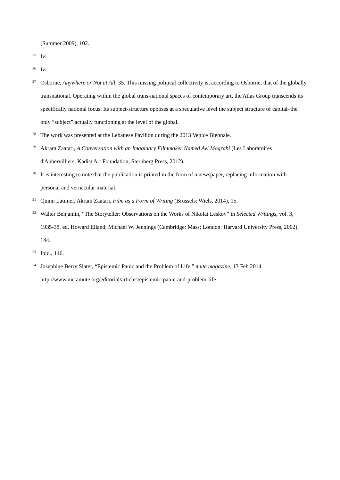(Summer 2009), 102.

<span id="page-16-0"></span> $25$  Ivi

<span id="page-16-1"></span><sup>26</sup> Ivi

- <span id="page-16-2"></span><sup>27</sup> Osborne, *Anywhere or Not at All*, 35. This missing political collectivity is, according to Osborne, that of the globally transnational. Operating within the global trans-national spaces of contemporary art, the Atlas Group transcends its specifically national focus. Its subject-structure opposes at a speculative level the subject structure of capital–the only "subject" actually functioning at the level of the global.
- <span id="page-16-3"></span><sup>28</sup> The work was presented at the Lebanese Pavilion during the 2013 Venice Biennale.
- <span id="page-16-4"></span><sup>29</sup> Akram Zaatari, *A Conversation with an Imaginary Filmmaker Named Avi Mograbi* (Les Laboratoires d'Aubervilliers, Kadist Art Foundation, Sternberg Press, 2012).
- <span id="page-16-5"></span><sup>30</sup> It is interesting to note that the publication is printed in the form of a newspaper, replacing information with personal and vernacular material.
- <span id="page-16-6"></span><sup>31</sup> Quinn Latimer, Akram Zaatari, *Film as a Form of Writing* (Brussels: Wiels, 2014), 15.
- <span id="page-16-7"></span><sup>32</sup> Walter Benjamin, "The Storyteller: Observations on the Works of Nikolai Leskov" in *Selected Writings*, vol. 3, 1935-38, ed. Howard Eiland, Michael W. Jennings (Cambridge: Mass; London: Harvard University Press, 2002), 144.
- <span id="page-16-8"></span><sup>33</sup> Ibid., 146.
- <span id="page-16-9"></span><sup>34</sup> Josephine Berry Slater, "Epistemic Panic and the Problem of Life," *mute magazine*, 13 Feb 2014 http://www.metamute.org/editorial/articles/epistemic-panic-and-problem-life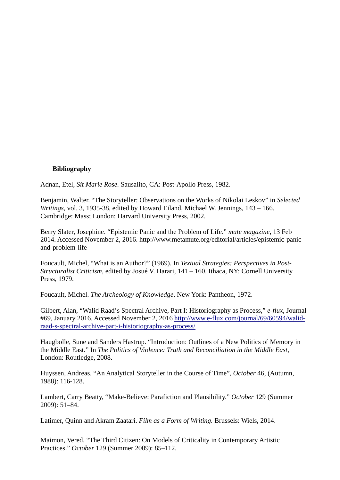## **Bibliography**

 $\overline{a}$ 

Adnan, Etel, *Sit Marie Rose.* Sausalito, CA: Post-Apollo Press, 1982.

Benjamin, Walter. "The Storyteller: Observations on the Works of Nikolai Leskov" in *Selected Writings*, vol. 3, 1935-38, edited by Howard Eiland, Michael W. Jennings, 143 – 166. Cambridge: Mass; London: Harvard University Press, 2002.

Berry Slater, Josephine. "Epistemic Panic and the Problem of Life." *mute magazine*, 13 Feb 2014. Accessed November 2, 2016. http://www.metamute.org/editorial/articles/epistemic-panicand-problem-life

Foucault, Michel, "What is an Author?" (1969). In *Textual Strategies: Perspectives in Post-Structuralist Criticism*, edited by Josué V. Harari, 141 – 160. Ithaca, NY: Cornell University Press, 1979.

Foucault, Michel. *The Archeology of Knowledge*, New York: Pantheon, 1972.

Gilbert, Alan, "Walid Raad's Spectral Archive, Part I: Historiography as Process," *e-flux*, Journal #69, January 2016. Accessed November 2, 2016 [http://www.e-flux.com/journal/69/60594/walid](http://www.e-flux.com/journal/69/60594/walid-raad-s-spectral-archive-part-i-historiography-as-process/)[raad-s-spectral-archive-part-i-historiography-as-process/](http://www.e-flux.com/journal/69/60594/walid-raad-s-spectral-archive-part-i-historiography-as-process/)

Haugbolle, Sune and Sanders Hastrup. "Introduction: Outlines of a New Politics of Memory in the Middle East." In *The Politics of Violence: Truth and Reconciliation in the Middle East,*  London: Routledge, 2008.

Huyssen, Andreas. "An Analytical Storyteller in the Course of Time", *October* 46, (Autumn, 1988): 116-128.

Lambert, Carry Beatty, "Make-Believe: Parafiction and Plausibility." *October* 129 (Summer 2009): 51–84.

Latimer, Quinn and Akram Zaatari. *Film as a Form of Writing.* Brussels: Wiels, 2014.

Maimon, Vered. "The Third Citizen: On Models of Criticality in Contemporary Artistic Practices." *October* 129 (Summer 2009): 85–112.